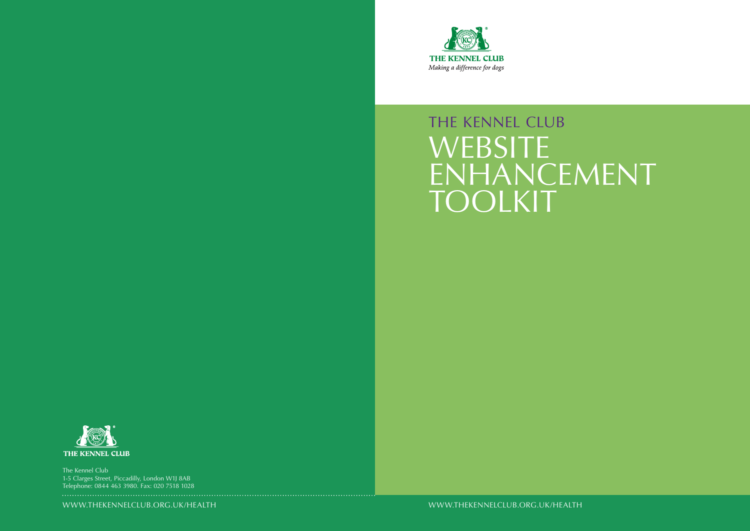WWW.THEKENNELCLUB.ORG.UK/HEALTH



# THE KENNEL CLUB **WEBSITE** ENHANCEMENT TOOLKIT



WWW.THEKENNELCLUB.ORG.UK/HEALTH

The Kennel Club 1-5 Clarges Street, Piccadilly, London W1J 8AB Telephone: 0844 463 3980. Fax: 020 7518 1028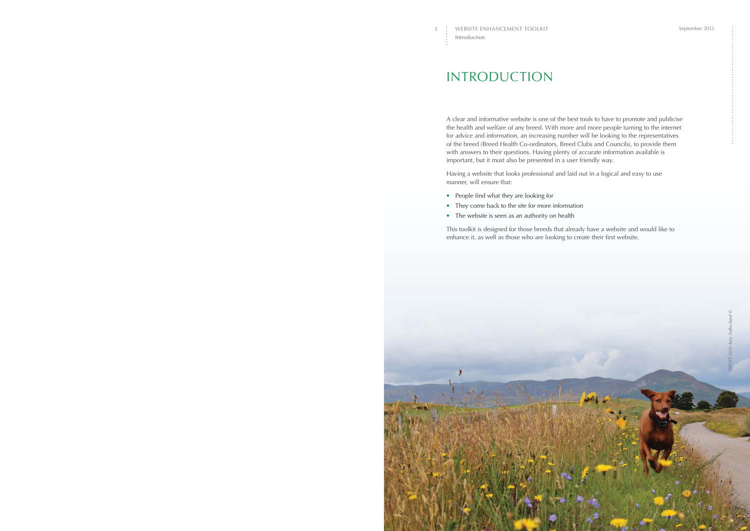## INTRODUCTION

A clear and informative website is one of the best tools to have to promote and publicise the health and welfare of any breed. With more and more people turning to the internet for advice and information, an increasing number will be looking to the representatives of the breed (Breed Health Co-ordinators, Breed Clubs and Councils), to provide them with answers to their questions. Having plenty of accurate information available is important, but it must also be presented in a user friendly way.

Having a website that looks professional and laid out in a logical and easy to use manner, will ensure that:

- People find what they are looking for
- They come back to the site for more information
- The website is seen as an authority on health

This toolkit is designed for those breeds that already have a website and would like to enhance it, as well as those who are looking to create their first website.

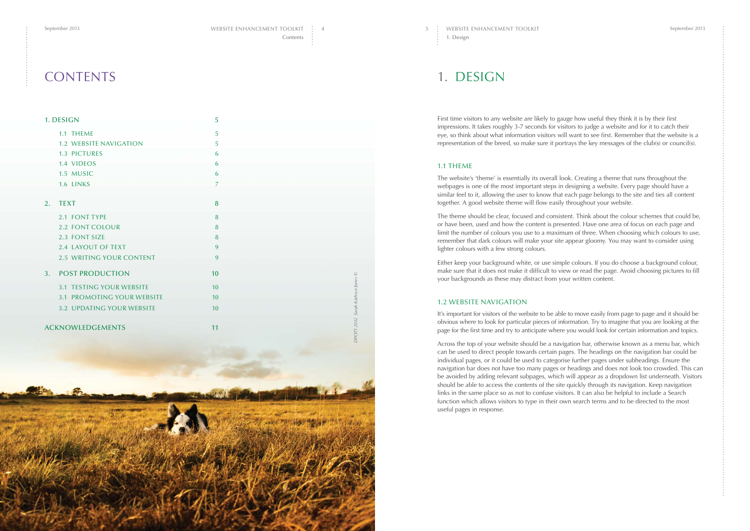## 1. DESIGN

First time visitors to any website are likely to gauge how useful they think it is by their first impressions. It takes roughly 3-7 seconds for visitors to judge a website and for it to catch their eye, so think about what information visitors will want to see first. Remember that the website is a representation of the breed, so make sure it portrays the key messages of the club(s) or council(s).

#### 1.1 THEME

The website's 'theme' is essentially its overall look. Creating a theme that runs throughout the webpages is one of the most important steps in designing a website. Every page should have a similar feel to it, allowing the user to know that each page belongs to the site and ties all content together. A good website theme will flow easily throughout your website.

The theme should be clear, focused and consistent. Think about the colour schemes that could be, or have been, used and how the content is presented. Have one area of focus on each page and limit the number of colours you use to a maximum of three. When choosing which colours to use, remember that dark colours will make your site appear gloomy. You may want to consider using lighter colours with a few strong colours.

|    | 1. DESIGN                       | 5                |                                  |
|----|---------------------------------|------------------|----------------------------------|
|    | 1.1 THEME                       | 5                |                                  |
|    | <b>1.2 WEBSITE NAVIGATION</b>   | 5                |                                  |
|    | 1.3 PICTURES                    | 6                |                                  |
|    | 1.4 VIDEOS                      | 6                |                                  |
|    | 1.5 MUSIC                       | $\boldsymbol{6}$ |                                  |
|    | 1.6 LINKS                       | $\boldsymbol{7}$ |                                  |
|    |                                 |                  |                                  |
| 2. | <b>TEXT</b>                     | $\boldsymbol{8}$ |                                  |
|    | 2.1 FONT TYPE                   | $\bf 8$          |                                  |
|    | <b>2.2 FONT COLOUR</b>          | $\boldsymbol{8}$ |                                  |
|    | 2.3 FONT SIZE                   | $\boldsymbol{8}$ |                                  |
|    | 2.4 LAYOUT OF TEXT              | 9                |                                  |
|    | <b>2.5 WRITING YOUR CONTENT</b> | 9                |                                  |
| 3. | <b>POST PRODUCTION</b>          | 10               |                                  |
|    | 3.1 TESTING YOUR WEBSITE        | 10               |                                  |
|    | 3.1 PROMOTING YOUR WEBSITE      | 10               |                                  |
|    | 3.2 UPDATING YOUR WEBSITE       | 10               |                                  |
|    |                                 |                  | DPOTY 2012 Sarah Kathryn Jones © |
|    | <b>ACKNOWLEDGEMENTS</b>         | 11               |                                  |
|    |                                 |                  |                                  |
|    |                                 |                  |                                  |
|    |                                 |                  |                                  |
|    |                                 |                  |                                  |
|    | á÷.                             |                  |                                  |
|    |                                 |                  |                                  |
|    |                                 |                  |                                  |
|    |                                 |                  |                                  |
|    |                                 |                  |                                  |
|    |                                 |                  |                                  |
|    |                                 |                  |                                  |
|    |                                 |                  |                                  |
|    |                                 |                  |                                  |
|    |                                 |                  |                                  |
|    |                                 |                  |                                  |
|    |                                 |                  |                                  |

Either keep your background white, or use simple colours. If you do choose a background colour, make sure that it does not make it difficult to view or read the page. Avoid choosing pictures to fill your backgrounds as these may distract from your written content.

### 1.2 WEBSITE NAVIGATION

It's important for visitors of the website to be able to move easily from page to page and it should be obvious where to look for particular pieces of information. Try to imagine that you are looking at the page for the first time and try to anticipate where you would look for certain information and topics.

Across the top of your website should be a navigation bar, otherwise known as a menu bar, which can be used to direct people towards certain pages. The headings on the navigation bar could be individual pages, or it could be used to categorise further pages under subheadings. Ensure the navigation bar does not have too many pages or headings and does not look too crowded. This can be avoided by adding relevant subpages, which will appear as a dropdown list underneath. Visitors should be able to access the contents of the site quickly through its navigation. Keep navigation links in the same place so as not to confuse visitors. It can also be helpful to include a Search function which allows visitors to type in their own search terms and to be directed to the most useful pages in response.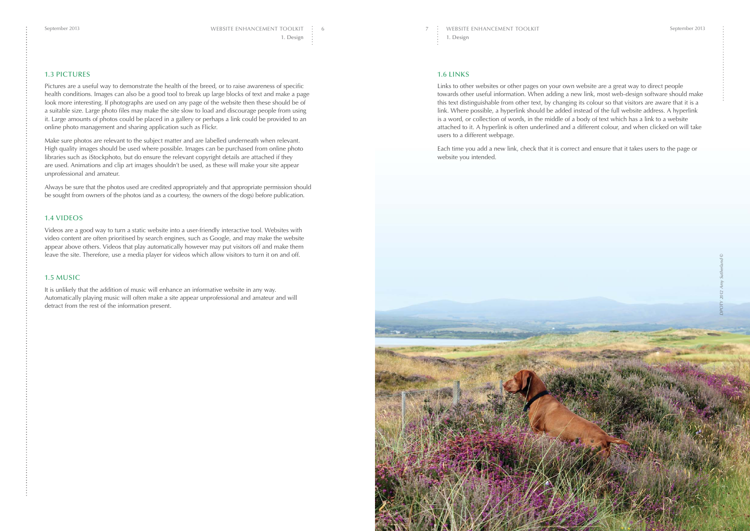#### 1.3 PICTURES

Pictures are a useful way to demonstrate the health of the breed, or to raise awareness of specific health conditions. Images can also be a good tool to break up large blocks of text and make a page look more interesting. If photographs are used on any page of the website then these should be of a suitable size. Large photo files may make the site slow to load and discourage people from using it. Large amounts of photos could be placed in a gallery or perhaps a link could be provided to an online photo management and sharing application such as [Flickr.](http://www.flickr.com/?utm_source=BHC_WebEnhancement&utm_medium=P6Flikr&utm_campaign=BHC_WebEnhancement)

Make sure photos are relevant to the subject matter and are labelled underneath when relevant. High quality images should be used where possible. Images can be purchased from online photo libraries such as [iStockphoto,](http://www.istockphoto.com/?utm_source=BHC_WebEnhancement&utm_medium=P6iStock&utm_campaign=BHC_WebEnhancement) but do ensure the relevant copyright details are attached if they are used. Animations and clip art images shouldn't be used, as these will make your site appear unprofessional and amateur.

Always be sure that the photos used are credited appropriately and that appropriate permission should be sought from owners of the photos (and as a courtesy, the owners of the dogs) before publication.

### 1.4 VIDEOS

Videos are a good way to turn a static website into a user-friendly interactive tool. Websites with video content are often prioritised by search engines, such as [Google,](https://www.google.co.uk/?utm_source=BHC_WebEnhancement&utm_medium=P6Google&utm_campaign=BHC_WebEnhancement) and may make the website appear above others. Videos that play automatically however may put visitors off and make them leave the site. Therefore, use a media player for videos which allow visitors to turn it on and off.

### 1.5 MUSIC

It is unlikely that the addition of music will enhance an informative website in any way. Automatically playing music will often make a site appear unprofessional and amateur and will detract from the rest of the information present.

#### 1.6 LINKS

Links to other websites or other pages on your own website are a great way to direct people towards other useful information. When adding a new link, most web-design software should make this text distinguishable from other text, by changing its colour so that visitors are aware that it is a link. Where possible, a hyperlink should be added instead of the full website address. A hyperlink is a word, or collection of words, in the middle of a body of text which has a link to a website attached to it. A hyperlink is often underlined and a different colour, and when clicked on will take users to a different webpage.

Each time you add a new link, check that it is correct and ensure that it takes users to the page or website you intended.

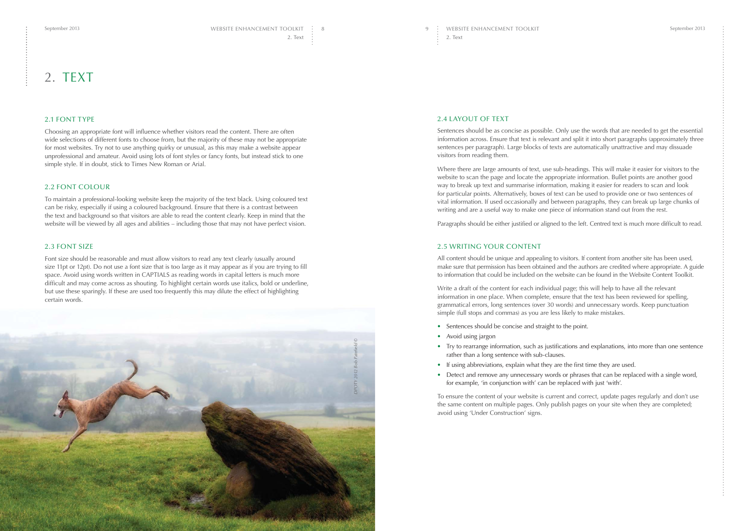#### 2.4 LAYOUT OF TEXT

Sentences should be as concise as possible. Only use the words that are needed to get the essential information across. Ensure that text is relevant and split it into short paragraphs (approximately three sentences per paragraph). Large blocks of texts are automatically unattractive and may dissuade visitors from reading them.

Where there are large amounts of text, use sub-headings. This will make it easier for visitors to the website to scan the page and locate the appropriate information. Bullet points are another good way to break up text and summarise information, making it easier for readers to scan and look for particular points. Alternatively, boxes of text can be used to provide one or two sentences of vital information. If used occasionally and between paragraphs, they can break up large chunks of writing and are a useful way to make one piece of information stand out from the rest.

Paragraphs should be either justified or aligned to the left. Centred text is much more difficult to read.

#### 2.5 WRITING YOUR CONTENT

All content should be unique and appealing to visitors. If content from another site has been used, make sure that permission has been obtained and the authors are credited where appropriate. A guide to information that could be included on the website can be found in the [Website Content Toolkit.](https://www.thekennelclub.org.uk/media/356225/website_content_toolkit.pdf?utm_source=BHC_WebEnhancement&utm_medium=P9WebContentToolkit&utm_campaign=BHC_WebEnhancement)

Write a draft of the content for each individual page; this will help to have all the relevant information in one place. When complete, ensure that the text has been reviewed for spelling, grammatical errors, long sentences (over 30 words) and unnecessary words. Keep punctuation simple (full stops and commas) as you are less likely to make mistakes.

• Try to rearrange information, such as justifications and explanations, into more than one sentence

- Sentences should be concise and straight to the point.
- Avoid using jargon
- rather than a long sentence with sub-clauses.
- If using abbreviations, explain what they are the first time they are used.
- for example, 'in conjunction with' can be replaced with just 'with'.

• Detect and remove any unnecessary words or phrases that can be replaced with a single word,

To ensure the content of your website is current and correct, update pages regularly and don't use the same content on multiple pages. Only publish pages on your site when they are completed; avoid using 'Under Construction' signs.

## 2. TEXT

#### 2.1 FONT TYPE

Choosing an appropriate font will influence whether visitors read the content. There are often wide selections of different fonts to choose from, but the majority of these may not be appropriate for most websites. Try not to use anything quirky or unusual, as this may make a website appear unprofessional and amateur. Avoid using lots of font styles or fancy fonts, but instead stick to one simple style. If in doubt, stick to Times New Roman or Arial.

#### 2.2 FONT COLOUR

To maintain a professional-looking website keep the majority of the text black. Using coloured text can be risky, especially if using a coloured background. Ensure that there is a contrast between the text and background so that visitors are able to read the content clearly. Keep in mind that the website will be viewed by all ages and abilities – including those that may not have perfect vision.

#### 2.3 FONT SIZE

Font size should be reasonable and must allow visitors to read any text clearly (usually around size 11pt or 12pt). Do not use a font size that is too large as it may appear as if you are trying to fill space. Avoid using words written in CAPTIALS as reading words in capital letters is much more difficult and may come across as shouting. To highlight certain words use italics, bold or underline, but use these sparingly. If these are used too frequently this may dilute the effect of highlighting certain words.